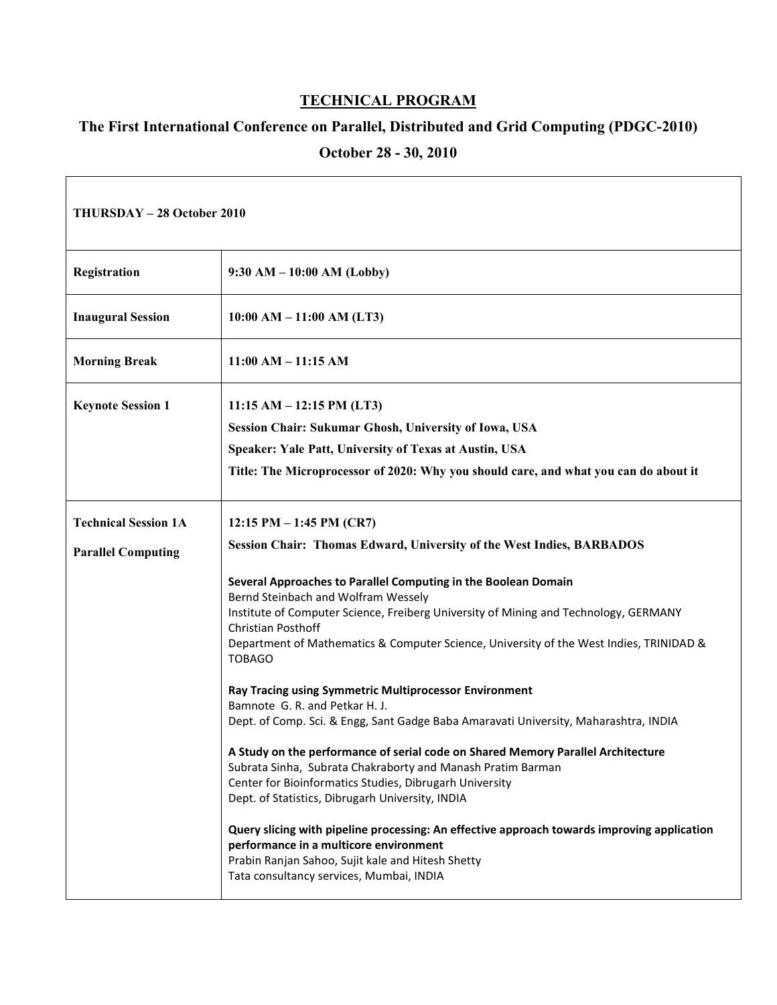## **TECHNICAL PROGRAM**

## **The First International Conference on Parallel, Distributed and Grid Computing (PDGC-2010)**

## **October 28 - 30, 2010**

| THURSDAY - 28 October 2010                               |                                                                                                                                                                                                                                                                                                                                                                                                                                                                                                                                                                                                                                                                                                                                                                                                                                                                                                                                                                                                                                                                                                                                               |
|----------------------------------------------------------|-----------------------------------------------------------------------------------------------------------------------------------------------------------------------------------------------------------------------------------------------------------------------------------------------------------------------------------------------------------------------------------------------------------------------------------------------------------------------------------------------------------------------------------------------------------------------------------------------------------------------------------------------------------------------------------------------------------------------------------------------------------------------------------------------------------------------------------------------------------------------------------------------------------------------------------------------------------------------------------------------------------------------------------------------------------------------------------------------------------------------------------------------|
| Registration                                             | $9:30 AM - 10:00 AM (Lobby)$                                                                                                                                                                                                                                                                                                                                                                                                                                                                                                                                                                                                                                                                                                                                                                                                                                                                                                                                                                                                                                                                                                                  |
| <b>Inaugural Session</b>                                 | $10:00 AM - 11:00 AM (LT3)$                                                                                                                                                                                                                                                                                                                                                                                                                                                                                                                                                                                                                                                                                                                                                                                                                                                                                                                                                                                                                                                                                                                   |
| <b>Morning Break</b>                                     | $11:00$ AM $- 11:15$ AM                                                                                                                                                                                                                                                                                                                                                                                                                                                                                                                                                                                                                                                                                                                                                                                                                                                                                                                                                                                                                                                                                                                       |
| <b>Keynote Session 1</b>                                 | $11:15 AM - 12:15 PM (LT3)$<br>Session Chair: Sukumar Ghosh, University of Iowa, USA<br>Speaker: Yale Patt, University of Texas at Austin, USA<br>Title: The Microprocessor of 2020: Why you should care, and what you can do about it                                                                                                                                                                                                                                                                                                                                                                                                                                                                                                                                                                                                                                                                                                                                                                                                                                                                                                        |
| <b>Technical Session 1A</b><br><b>Parallel Computing</b> | 12:15 PM $-$ 1:45 PM (CR7)<br><b>Session Chair: Thomas Edward, University of the West Indies, BARBADOS</b><br>Several Approaches to Parallel Computing in the Boolean Domain<br>Bernd Steinbach and Wolfram Wessely<br>Institute of Computer Science, Freiberg University of Mining and Technology, GERMANY<br>Christian Posthoff<br>Department of Mathematics & Computer Science, University of the West Indies, TRINIDAD &<br><b>TOBAGO</b><br>Ray Tracing using Symmetric Multiprocessor Environment<br>Bamnote G. R. and Petkar H. J.<br>Dept. of Comp. Sci. & Engg, Sant Gadge Baba Amaravati University, Maharashtra, INDIA<br>A Study on the performance of serial code on Shared Memory Parallel Architecture<br>Subrata Sinha, Subrata Chakraborty and Manash Pratim Barman<br>Center for Bioinformatics Studies, Dibrugarh University<br>Dept. of Statistics, Dibrugarh University, INDIA<br>Query slicing with pipeline processing: An effective approach towards improving application<br>performance in a multicore environment<br>Prabin Ranjan Sahoo, Sujit kale and Hitesh Shetty<br>Tata consultancy services, Mumbai, INDIA |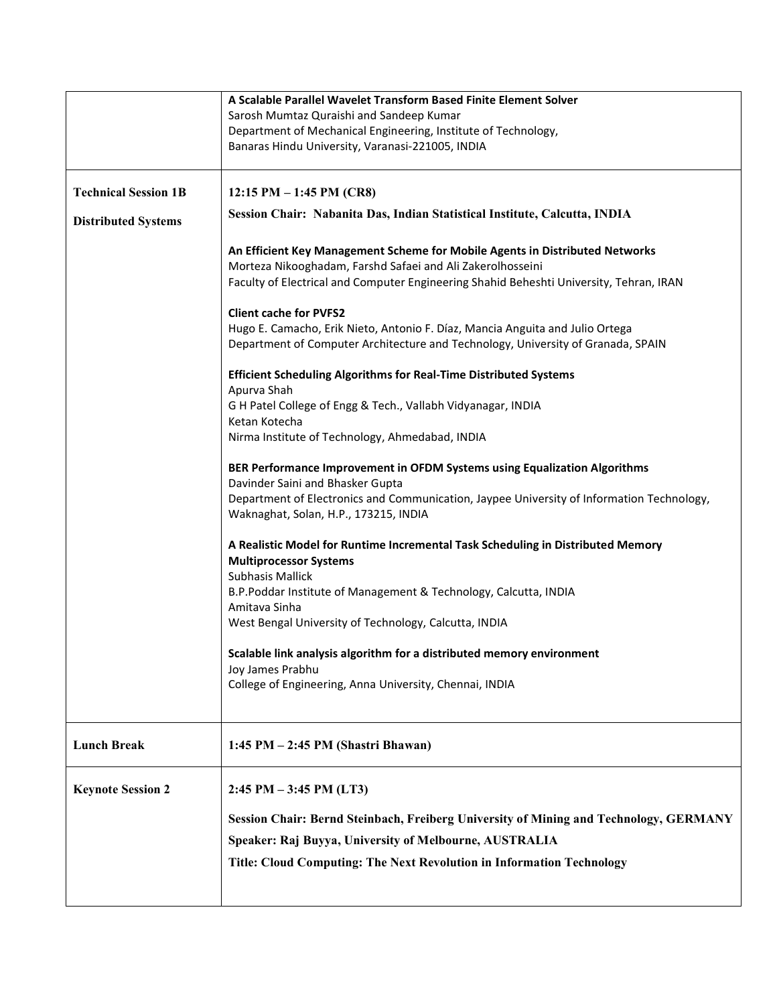|                             | A Scalable Parallel Wavelet Transform Based Finite Element Solver<br>Sarosh Mumtaz Quraishi and Sandeep Kumar                                                                                                                         |
|-----------------------------|---------------------------------------------------------------------------------------------------------------------------------------------------------------------------------------------------------------------------------------|
|                             | Department of Mechanical Engineering, Institute of Technology,<br>Banaras Hindu University, Varanasi-221005, INDIA                                                                                                                    |
| <b>Technical Session 1B</b> | 12:15 PM $-$ 1:45 PM (CR8)                                                                                                                                                                                                            |
| <b>Distributed Systems</b>  | Session Chair: Nabanita Das, Indian Statistical Institute, Calcutta, INDIA                                                                                                                                                            |
|                             | An Efficient Key Management Scheme for Mobile Agents in Distributed Networks<br>Morteza Nikooghadam, Farshd Safaei and Ali Zakerolhosseini<br>Faculty of Electrical and Computer Engineering Shahid Beheshti University, Tehran, IRAN |
|                             | <b>Client cache for PVFS2</b><br>Hugo E. Camacho, Erik Nieto, Antonio F. Díaz, Mancia Anguita and Julio Ortega<br>Department of Computer Architecture and Technology, University of Granada, SPAIN                                    |
|                             | <b>Efficient Scheduling Algorithms for Real-Time Distributed Systems</b><br>Apurva Shah                                                                                                                                               |
|                             | G H Patel College of Engg & Tech., Vallabh Vidyanagar, INDIA<br>Ketan Kotecha                                                                                                                                                         |
|                             | Nirma Institute of Technology, Ahmedabad, INDIA                                                                                                                                                                                       |
|                             | BER Performance Improvement in OFDM Systems using Equalization Algorithms<br>Davinder Saini and Bhasker Gupta                                                                                                                         |
|                             | Department of Electronics and Communication, Jaypee University of Information Technology,<br>Waknaghat, Solan, H.P., 173215, INDIA                                                                                                    |
|                             | A Realistic Model for Runtime Incremental Task Scheduling in Distributed Memory<br><b>Multiprocessor Systems</b>                                                                                                                      |
|                             | <b>Subhasis Mallick</b><br>B.P.Poddar Institute of Management & Technology, Calcutta, INDIA                                                                                                                                           |
|                             | Amitava Sinha                                                                                                                                                                                                                         |
|                             | West Bengal University of Technology, Calcutta, INDIA                                                                                                                                                                                 |
|                             | Scalable link analysis algorithm for a distributed memory environment<br>Joy James Prabhu                                                                                                                                             |
|                             | College of Engineering, Anna University, Chennai, INDIA                                                                                                                                                                               |
| <b>Lunch Break</b>          | 1:45 PM - 2:45 PM (Shastri Bhawan)                                                                                                                                                                                                    |
| <b>Keynote Session 2</b>    | $2:45$ PM $-3:45$ PM (LT3)                                                                                                                                                                                                            |
|                             | <b>Session Chair: Bernd Steinbach, Freiberg University of Mining and Technology, GERMANY</b>                                                                                                                                          |
|                             | Speaker: Raj Buyya, University of Melbourne, AUSTRALIA                                                                                                                                                                                |
|                             | Title: Cloud Computing: The Next Revolution in Information Technology                                                                                                                                                                 |
|                             |                                                                                                                                                                                                                                       |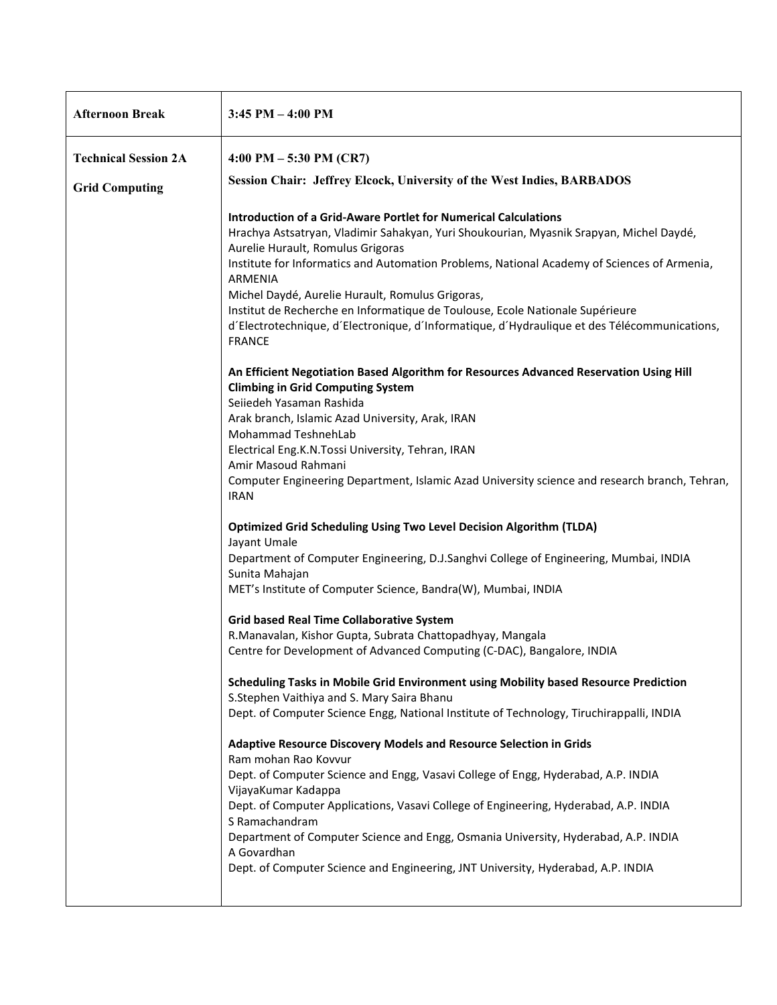| <b>Afternoon Break</b>      | $3:45$ PM $-4:00$ PM                                                                                                                                                                                                                                                                                                                                                                                                                                                                                                                                                                                                                                                                                                                                                                                                                                                                                                                                                                                                                                                                                                                                                                                                                                                                      |
|-----------------------------|-------------------------------------------------------------------------------------------------------------------------------------------------------------------------------------------------------------------------------------------------------------------------------------------------------------------------------------------------------------------------------------------------------------------------------------------------------------------------------------------------------------------------------------------------------------------------------------------------------------------------------------------------------------------------------------------------------------------------------------------------------------------------------------------------------------------------------------------------------------------------------------------------------------------------------------------------------------------------------------------------------------------------------------------------------------------------------------------------------------------------------------------------------------------------------------------------------------------------------------------------------------------------------------------|
| <b>Technical Session 2A</b> | 4:00 PM $-5:30$ PM (CR7)                                                                                                                                                                                                                                                                                                                                                                                                                                                                                                                                                                                                                                                                                                                                                                                                                                                                                                                                                                                                                                                                                                                                                                                                                                                                  |
| <b>Grid Computing</b>       | <b>Session Chair: Jeffrey Elcock, University of the West Indies, BARBADOS</b>                                                                                                                                                                                                                                                                                                                                                                                                                                                                                                                                                                                                                                                                                                                                                                                                                                                                                                                                                                                                                                                                                                                                                                                                             |
|                             | <b>Introduction of a Grid-Aware Portlet for Numerical Calculations</b><br>Hrachya Astsatryan, Vladimir Sahakyan, Yuri Shoukourian, Myasnik Srapyan, Michel Daydé,<br>Aurelie Hurault, Romulus Grigoras<br>Institute for Informatics and Automation Problems, National Academy of Sciences of Armenia,<br>ARMENIA<br>Michel Daydé, Aurelie Hurault, Romulus Grigoras,<br>Institut de Recherche en Informatique de Toulouse, Ecole Nationale Supérieure<br>d'Electrotechnique, d'Electronique, d'Informatique, d'Hydraulique et des Télécommunications,<br><b>FRANCE</b><br>An Efficient Negotiation Based Algorithm for Resources Advanced Reservation Using Hill<br><b>Climbing in Grid Computing System</b><br>Seiiedeh Yasaman Rashida<br>Arak branch, Islamic Azad University, Arak, IRAN<br>Mohammad TeshnehLab<br>Electrical Eng.K.N.Tossi University, Tehran, IRAN<br>Amir Masoud Rahmani<br>Computer Engineering Department, Islamic Azad University science and research branch, Tehran,<br><b>IRAN</b><br><b>Optimized Grid Scheduling Using Two Level Decision Algorithm (TLDA)</b><br>Jayant Umale<br>Department of Computer Engineering, D.J.Sanghvi College of Engineering, Mumbai, INDIA<br>Sunita Mahajan<br>MET's Institute of Computer Science, Bandra(W), Mumbai, INDIA |
|                             | <b>Grid based Real Time Collaborative System</b><br>R.Manavalan, Kishor Gupta, Subrata Chattopadhyay, Mangala                                                                                                                                                                                                                                                                                                                                                                                                                                                                                                                                                                                                                                                                                                                                                                                                                                                                                                                                                                                                                                                                                                                                                                             |
|                             | Centre for Development of Advanced Computing (C-DAC), Bangalore, INDIA                                                                                                                                                                                                                                                                                                                                                                                                                                                                                                                                                                                                                                                                                                                                                                                                                                                                                                                                                                                                                                                                                                                                                                                                                    |
|                             | Scheduling Tasks in Mobile Grid Environment using Mobility based Resource Prediction<br>S.Stephen Vaithiya and S. Mary Saira Bhanu<br>Dept. of Computer Science Engg, National Institute of Technology, Tiruchirappalli, INDIA<br>Adaptive Resource Discovery Models and Resource Selection in Grids<br>Ram mohan Rao Kovvur<br>Dept. of Computer Science and Engg, Vasavi College of Engg, Hyderabad, A.P. INDIA<br>VijayaKumar Kadappa<br>Dept. of Computer Applications, Vasavi College of Engineering, Hyderabad, A.P. INDIA<br>S Ramachandram<br>Department of Computer Science and Engg, Osmania University, Hyderabad, A.P. INDIA<br>A Govardhan<br>Dept. of Computer Science and Engineering, JNT University, Hyderabad, A.P. INDIA                                                                                                                                                                                                                                                                                                                                                                                                                                                                                                                                               |
|                             |                                                                                                                                                                                                                                                                                                                                                                                                                                                                                                                                                                                                                                                                                                                                                                                                                                                                                                                                                                                                                                                                                                                                                                                                                                                                                           |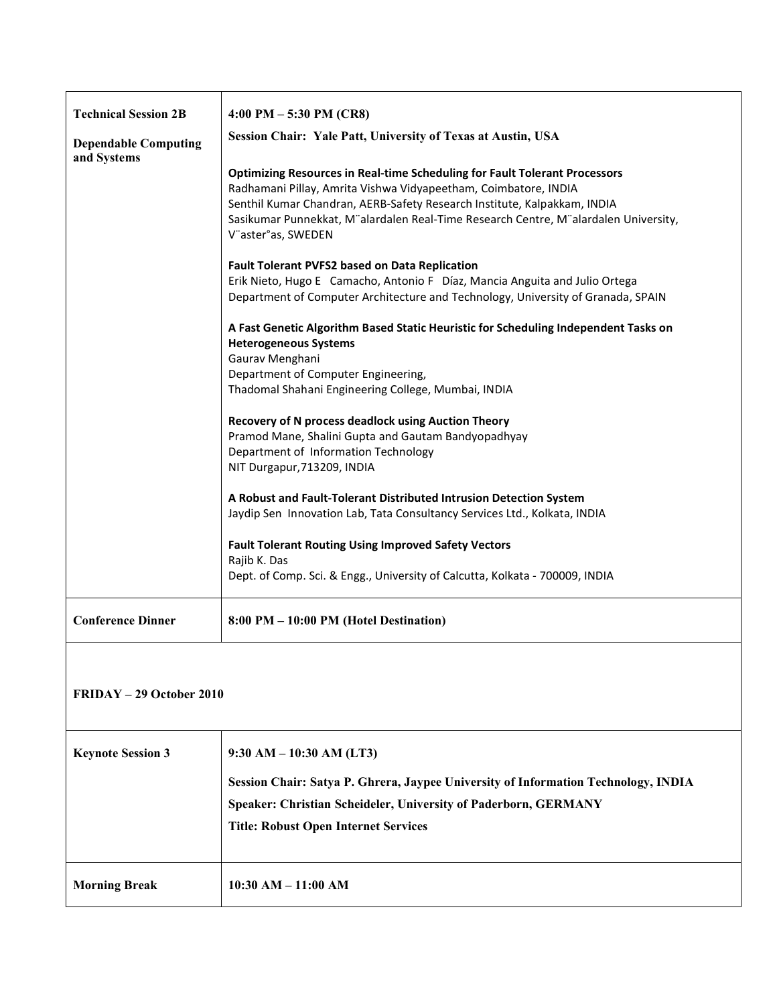| <b>Technical Session 2B</b><br><b>Dependable Computing</b><br>and Systems | 4:00 PM $-5:30$ PM (CR8)<br>Session Chair: Yale Patt, University of Texas at Austin, USA<br><b>Optimizing Resources in Real-time Scheduling for Fault Tolerant Processors</b><br>Radhamani Pillay, Amrita Vishwa Vidyapeetham, Coimbatore, INDIA<br>Senthil Kumar Chandran, AERB-Safety Research Institute, Kalpakkam, INDIA<br>Sasikumar Punnekkat, M"alardalen Real-Time Research Centre, M"alardalen University,<br>V"aster°as, SWEDEN<br><b>Fault Tolerant PVFS2 based on Data Replication</b><br>Erik Nieto, Hugo E Camacho, Antonio F Díaz, Mancia Anguita and Julio Ortega<br>Department of Computer Architecture and Technology, University of Granada, SPAIN<br>A Fast Genetic Algorithm Based Static Heuristic for Scheduling Independent Tasks on |
|---------------------------------------------------------------------------|--------------------------------------------------------------------------------------------------------------------------------------------------------------------------------------------------------------------------------------------------------------------------------------------------------------------------------------------------------------------------------------------------------------------------------------------------------------------------------------------------------------------------------------------------------------------------------------------------------------------------------------------------------------------------------------------------------------------------------------------------------------|
|                                                                           | <b>Heterogeneous Systems</b><br>Gaurav Menghani<br>Department of Computer Engineering,<br>Thadomal Shahani Engineering College, Mumbai, INDIA<br>Recovery of N process deadlock using Auction Theory<br>Pramod Mane, Shalini Gupta and Gautam Bandyopadhyay<br>Department of Information Technology<br>NIT Durgapur, 713209, INDIA<br>A Robust and Fault-Tolerant Distributed Intrusion Detection System<br>Jaydip Sen Innovation Lab, Tata Consultancy Services Ltd., Kolkata, INDIA<br><b>Fault Tolerant Routing Using Improved Safety Vectors</b><br>Rajib K. Das<br>Dept. of Comp. Sci. & Engg., University of Calcutta, Kolkata - 700009, INDIA                                                                                                         |
| <b>Conference Dinner</b>                                                  | 8:00 PM - 10:00 PM (Hotel Destination)                                                                                                                                                                                                                                                                                                                                                                                                                                                                                                                                                                                                                                                                                                                       |
| FRIDAY - 29 October 2010                                                  |                                                                                                                                                                                                                                                                                                                                                                                                                                                                                                                                                                                                                                                                                                                                                              |
| <b>Keynote Session 3</b>                                                  | $9:30$ AM $-10:30$ AM (LT3)<br>Session Chair: Satya P. Ghrera, Jaypee University of Information Technology, INDIA<br>Speaker: Christian Scheideler, University of Paderborn, GERMANY<br><b>Title: Robust Open Internet Services</b>                                                                                                                                                                                                                                                                                                                                                                                                                                                                                                                          |
| <b>Morning Break</b>                                                      | $10:30$ AM $- 11:00$ AM                                                                                                                                                                                                                                                                                                                                                                                                                                                                                                                                                                                                                                                                                                                                      |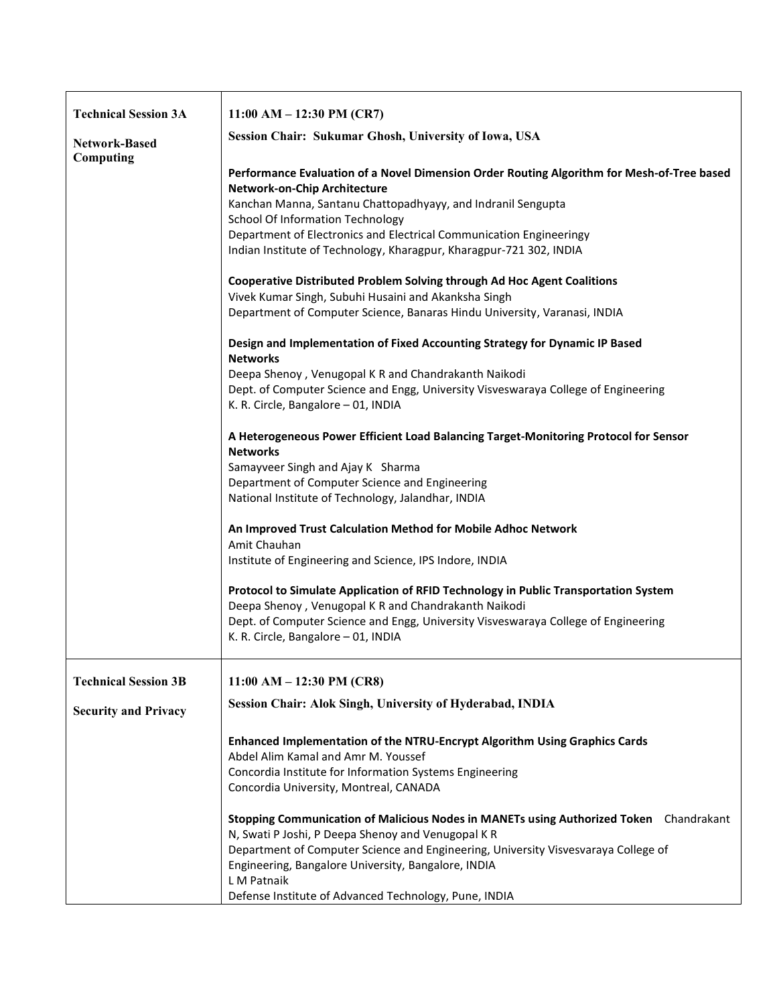| <b>Technical Session 3A</b> | $11:00 AM - 12:30 PM (CR7)$                                                                                                                |
|-----------------------------|--------------------------------------------------------------------------------------------------------------------------------------------|
| Network-Based<br>Computing  | Session Chair: Sukumar Ghosh, University of Iowa, USA                                                                                      |
|                             | Performance Evaluation of a Novel Dimension Order Routing Algorithm for Mesh-of-Tree based<br>Network-on-Chip Architecture                 |
|                             | Kanchan Manna, Santanu Chattopadhyayy, and Indranil Sengupta<br><b>School Of Information Technology</b>                                    |
|                             | Department of Electronics and Electrical Communication Engineeringy                                                                        |
|                             | Indian Institute of Technology, Kharagpur, Kharagpur-721 302, INDIA                                                                        |
|                             | Cooperative Distributed Problem Solving through Ad Hoc Agent Coalitions<br>Vivek Kumar Singh, Subuhi Husaini and Akanksha Singh            |
|                             | Department of Computer Science, Banaras Hindu University, Varanasi, INDIA                                                                  |
|                             | Design and Implementation of Fixed Accounting Strategy for Dynamic IP Based<br><b>Networks</b>                                             |
|                             | Deepa Shenoy, Venugopal K R and Chandrakanth Naikodi                                                                                       |
|                             | Dept. of Computer Science and Engg, University Visveswaraya College of Engineering<br>K. R. Circle, Bangalore - 01, INDIA                  |
|                             | A Heterogeneous Power Efficient Load Balancing Target-Monitoring Protocol for Sensor<br><b>Networks</b>                                    |
|                             | Samayveer Singh and Ajay K Sharma                                                                                                          |
|                             | Department of Computer Science and Engineering                                                                                             |
|                             | National Institute of Technology, Jalandhar, INDIA                                                                                         |
|                             | An Improved Trust Calculation Method for Mobile Adhoc Network<br>Amit Chauhan                                                              |
|                             | Institute of Engineering and Science, IPS Indore, INDIA                                                                                    |
|                             | Protocol to Simulate Application of RFID Technology in Public Transportation System                                                        |
|                             | Deepa Shenoy, Venugopal K R and Chandrakanth Naikodi<br>Dept. of Computer Science and Engg, University Visveswaraya College of Engineering |
|                             | K. R. Circle, Bangalore - 01, INDIA                                                                                                        |
| <b>Technical Session 3B</b> | 11:00 AM $-$ 12:30 PM (CR8)                                                                                                                |
| <b>Security and Privacy</b> | Session Chair: Alok Singh, University of Hyderabad, INDIA                                                                                  |
|                             |                                                                                                                                            |
|                             | Enhanced Implementation of the NTRU-Encrypt Algorithm Using Graphics Cards<br>Abdel Alim Kamal and Amr M. Youssef                          |
|                             | Concordia Institute for Information Systems Engineering                                                                                    |
|                             | Concordia University, Montreal, CANADA                                                                                                     |
|                             | Stopping Communication of Malicious Nodes in MANETs using Authorized Token Chandrakant                                                     |
|                             | N, Swati P Joshi, P Deepa Shenoy and Venugopal K R                                                                                         |
|                             | Department of Computer Science and Engineering, University Visvesvaraya College of                                                         |
|                             | Engineering, Bangalore University, Bangalore, INDIA<br>L M Patnaik                                                                         |
|                             | Defense Institute of Advanced Technology, Pune, INDIA                                                                                      |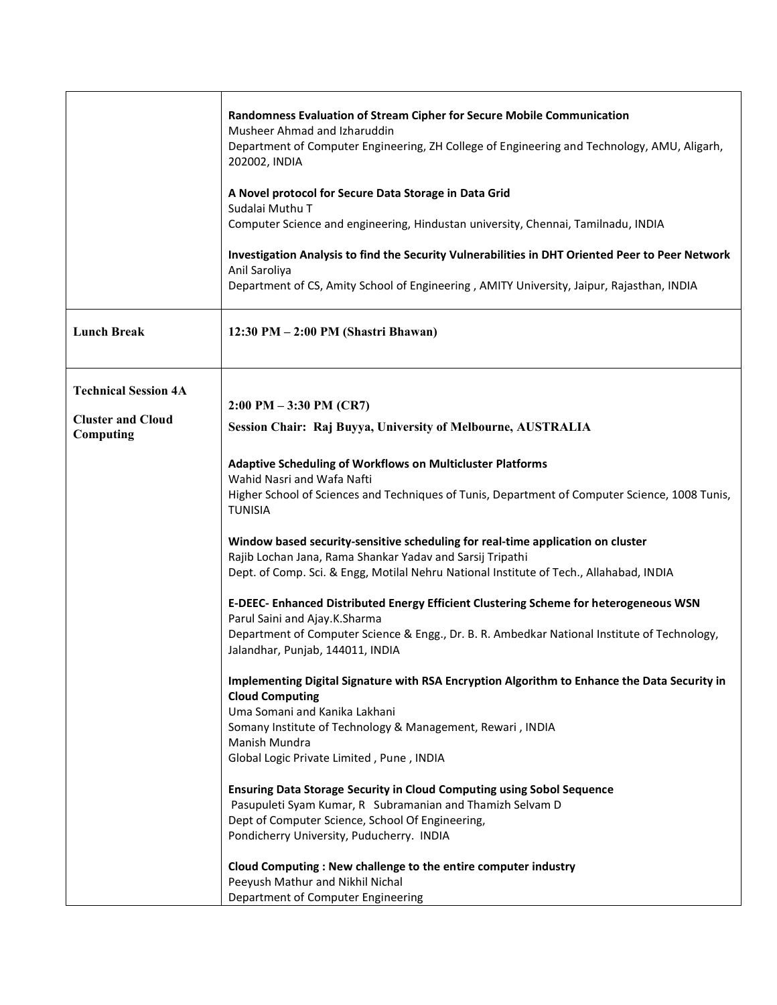|                                       | Randomness Evaluation of Stream Cipher for Secure Mobile Communication<br>Musheer Ahmad and Izharuddin<br>Department of Computer Engineering, ZH College of Engineering and Technology, AMU, Aligarh,<br>202002, INDIA<br>A Novel protocol for Secure Data Storage in Data Grid<br>Sudalai Muthu T<br>Computer Science and engineering, Hindustan university, Chennai, Tamilnadu, INDIA<br>Investigation Analysis to find the Security Vulnerabilities in DHT Oriented Peer to Peer Network<br>Anil Saroliya<br>Department of CS, Amity School of Engineering, AMITY University, Jaipur, Rajasthan, INDIA |
|---------------------------------------|-----------------------------------------------------------------------------------------------------------------------------------------------------------------------------------------------------------------------------------------------------------------------------------------------------------------------------------------------------------------------------------------------------------------------------------------------------------------------------------------------------------------------------------------------------------------------------------------------------------|
| <b>Lunch Break</b>                    | 12:30 PM - 2:00 PM (Shastri Bhawan)                                                                                                                                                                                                                                                                                                                                                                                                                                                                                                                                                                       |
| <b>Technical Session 4A</b>           |                                                                                                                                                                                                                                                                                                                                                                                                                                                                                                                                                                                                           |
| <b>Cluster and Cloud</b><br>Computing | $2:00 \text{ PM} - 3:30 \text{ PM} (\text{CR7})$<br>Session Chair: Raj Buyya, University of Melbourne, AUSTRALIA                                                                                                                                                                                                                                                                                                                                                                                                                                                                                          |
|                                       | <b>Adaptive Scheduling of Workflows on Multicluster Platforms</b><br>Wahid Nasri and Wafa Nafti                                                                                                                                                                                                                                                                                                                                                                                                                                                                                                           |
|                                       | Higher School of Sciences and Techniques of Tunis, Department of Computer Science, 1008 Tunis,<br><b>TUNISIA</b>                                                                                                                                                                                                                                                                                                                                                                                                                                                                                          |
|                                       | Window based security-sensitive scheduling for real-time application on cluster<br>Rajib Lochan Jana, Rama Shankar Yadav and Sarsij Tripathi<br>Dept. of Comp. Sci. & Engg, Motilal Nehru National Institute of Tech., Allahabad, INDIA                                                                                                                                                                                                                                                                                                                                                                   |
|                                       | E-DEEC- Enhanced Distributed Energy Efficient Clustering Scheme for heterogeneous WSN                                                                                                                                                                                                                                                                                                                                                                                                                                                                                                                     |
|                                       | Parul Saini and Ajay.K.Sharma<br>Department of Computer Science & Engg., Dr. B. R. Ambedkar National Institute of Technology,<br>Jalandhar, Punjab, 144011, INDIA                                                                                                                                                                                                                                                                                                                                                                                                                                         |
|                                       | Implementing Digital Signature with RSA Encryption Algorithm to Enhance the Data Security in<br><b>Cloud Computing</b>                                                                                                                                                                                                                                                                                                                                                                                                                                                                                    |
|                                       | Uma Somani and Kanika Lakhani<br>Somany Institute of Technology & Management, Rewari, INDIA                                                                                                                                                                                                                                                                                                                                                                                                                                                                                                               |
|                                       | Manish Mundra<br>Global Logic Private Limited, Pune, INDIA                                                                                                                                                                                                                                                                                                                                                                                                                                                                                                                                                |
|                                       | <b>Ensuring Data Storage Security in Cloud Computing using Sobol Sequence</b><br>Pasupuleti Syam Kumar, R Subramanian and Thamizh Selvam D<br>Dept of Computer Science, School Of Engineering,<br>Pondicherry University, Puducherry. INDIA                                                                                                                                                                                                                                                                                                                                                               |
|                                       | Cloud Computing: New challenge to the entire computer industry<br>Peeyush Mathur and Nikhil Nichal<br>Department of Computer Engineering                                                                                                                                                                                                                                                                                                                                                                                                                                                                  |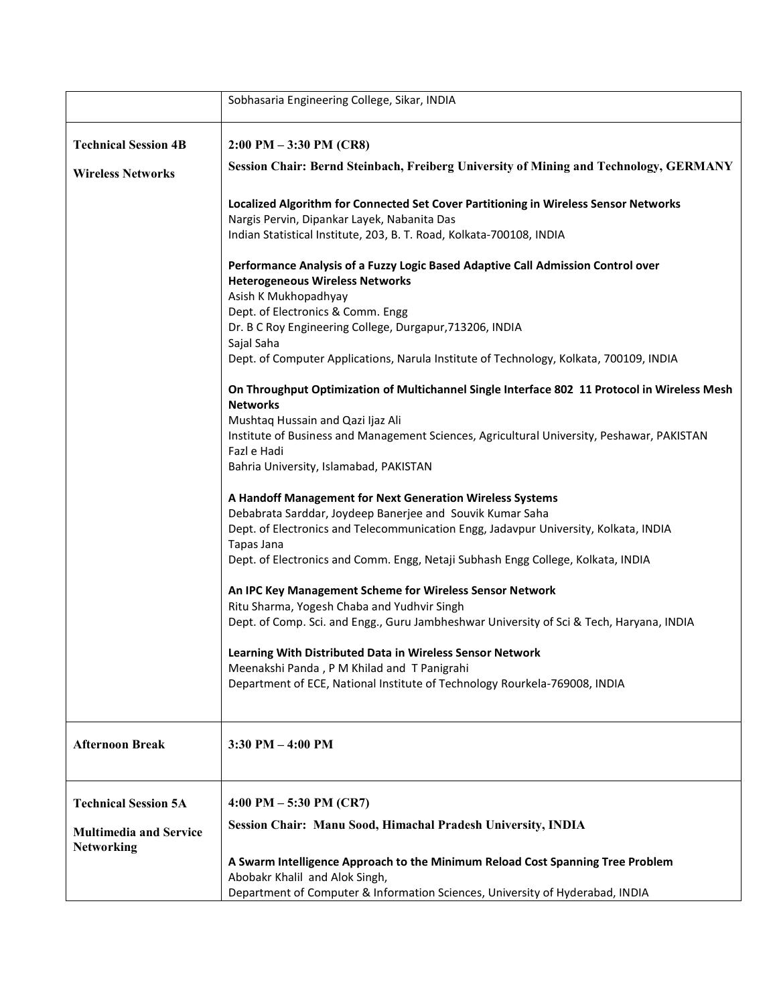|                                                    | Sobhasaria Engineering College, Sikar, INDIA                                                                               |
|----------------------------------------------------|----------------------------------------------------------------------------------------------------------------------------|
| <b>Technical Session 4B</b>                        | $2:00 \text{ PM} - 3:30 \text{ PM} \text{ (CR8)}$                                                                          |
|                                                    | Session Chair: Bernd Steinbach, Freiberg University of Mining and Technology, GERMANY                                      |
| <b>Wireless Networks</b>                           |                                                                                                                            |
|                                                    | Localized Algorithm for Connected Set Cover Partitioning in Wireless Sensor Networks                                       |
|                                                    | Nargis Pervin, Dipankar Layek, Nabanita Das                                                                                |
|                                                    | Indian Statistical Institute, 203, B. T. Road, Kolkata-700108, INDIA                                                       |
|                                                    | Performance Analysis of a Fuzzy Logic Based Adaptive Call Admission Control over<br><b>Heterogeneous Wireless Networks</b> |
|                                                    | Asish K Mukhopadhyay                                                                                                       |
|                                                    | Dept. of Electronics & Comm. Engg                                                                                          |
|                                                    | Dr. B C Roy Engineering College, Durgapur, 713206, INDIA                                                                   |
|                                                    | Sajal Saha<br>Dept. of Computer Applications, Narula Institute of Technology, Kolkata, 700109, INDIA                       |
|                                                    | On Throughput Optimization of Multichannel Single Interface 802 11 Protocol in Wireless Mesh<br><b>Networks</b>            |
|                                                    | Mushtaq Hussain and Qazi Ijaz Ali                                                                                          |
|                                                    | Institute of Business and Management Sciences, Agricultural University, Peshawar, PAKISTAN                                 |
|                                                    | Fazl e Hadi                                                                                                                |
|                                                    | Bahria University, Islamabad, PAKISTAN                                                                                     |
|                                                    | A Handoff Management for Next Generation Wireless Systems                                                                  |
|                                                    | Debabrata Sarddar, Joydeep Banerjee and Souvik Kumar Saha                                                                  |
|                                                    | Dept. of Electronics and Telecommunication Engg, Jadavpur University, Kolkata, INDIA                                       |
|                                                    | Tapas Jana<br>Dept. of Electronics and Comm. Engg, Netaji Subhash Engg College, Kolkata, INDIA                             |
|                                                    |                                                                                                                            |
|                                                    | An IPC Key Management Scheme for Wireless Sensor Network                                                                   |
|                                                    | Ritu Sharma, Yogesh Chaba and Yudhvir Singh                                                                                |
|                                                    | Dept. of Comp. Sci. and Engg., Guru Jambheshwar University of Sci & Tech, Haryana, INDIA                                   |
|                                                    | Learning With Distributed Data in Wireless Sensor Network                                                                  |
|                                                    | Meenakshi Panda, P M Khilad and T Panigrahi                                                                                |
|                                                    | Department of ECE, National Institute of Technology Rourkela-769008, INDIA                                                 |
| <b>Afternoon Break</b>                             | $3:30$ PM $-4:00$ PM                                                                                                       |
|                                                    |                                                                                                                            |
| <b>Technical Session 5A</b>                        | 4:00 PM $-5:30$ PM (CR7)                                                                                                   |
| <b>Multimedia and Service</b><br><b>Networking</b> | Session Chair: Manu Sood, Himachal Pradesh University, INDIA                                                               |
|                                                    | A Swarm Intelligence Approach to the Minimum Reload Cost Spanning Tree Problem                                             |
|                                                    | Abobakr Khalil and Alok Singh,                                                                                             |
|                                                    | Department of Computer & Information Sciences, University of Hyderabad, INDIA                                              |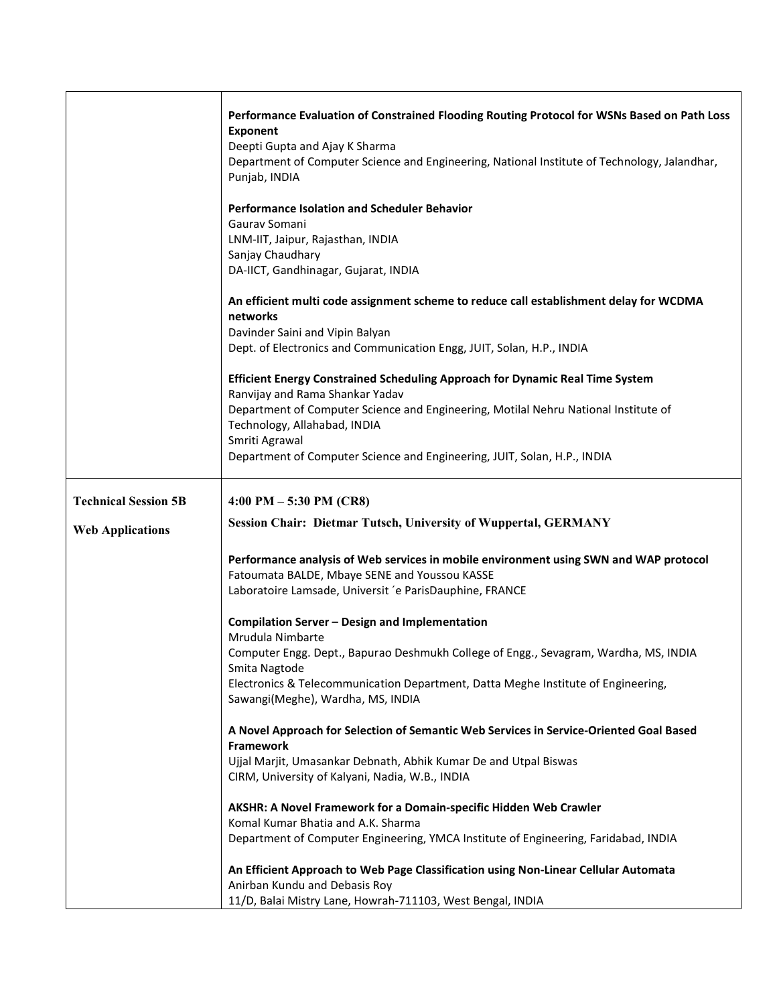|                                                        | Performance Evaluation of Constrained Flooding Routing Protocol for WSNs Based on Path Loss<br><b>Exponent</b><br>Deepti Gupta and Ajay K Sharma<br>Department of Computer Science and Engineering, National Institute of Technology, Jalandhar,<br>Punjab, INDIA                                                                     |
|--------------------------------------------------------|---------------------------------------------------------------------------------------------------------------------------------------------------------------------------------------------------------------------------------------------------------------------------------------------------------------------------------------|
|                                                        | Performance Isolation and Scheduler Behavior<br>Gaurav Somani<br>LNM-IIT, Jaipur, Rajasthan, INDIA<br>Sanjay Chaudhary<br>DA-IICT, Gandhinagar, Gujarat, INDIA                                                                                                                                                                        |
|                                                        | An efficient multi code assignment scheme to reduce call establishment delay for WCDMA<br>networks<br>Davinder Saini and Vipin Balyan<br>Dept. of Electronics and Communication Engg, JUIT, Solan, H.P., INDIA                                                                                                                        |
|                                                        | Efficient Energy Constrained Scheduling Approach for Dynamic Real Time System<br>Ranvijay and Rama Shankar Yadav<br>Department of Computer Science and Engineering, Motilal Nehru National Institute of<br>Technology, Allahabad, INDIA<br>Smriti Agrawal<br>Department of Computer Science and Engineering, JUIT, Solan, H.P., INDIA |
| <b>Technical Session 5B</b><br><b>Web Applications</b> | 4:00 PM $-5:30$ PM (CR8)<br><b>Session Chair: Dietmar Tutsch, University of Wuppertal, GERMANY</b>                                                                                                                                                                                                                                    |
|                                                        | Performance analysis of Web services in mobile environment using SWN and WAP protocol<br>Fatoumata BALDE, Mbaye SENE and Youssou KASSE<br>Laboratoire Lamsade, Universit 'e ParisDauphine, FRANCE                                                                                                                                     |
|                                                        | Compilation Server - Design and Implementation<br>Mrudula Nimbarte<br>Computer Engg. Dept., Bapurao Deshmukh College of Engg., Sevagram, Wardha, MS, INDIA<br>Smita Nagtode<br>Electronics & Telecommunication Department, Datta Meghe Institute of Engineering,<br>Sawangi(Meghe), Wardha, MS, INDIA                                 |
|                                                        | A Novel Approach for Selection of Semantic Web Services in Service-Oriented Goal Based<br>Framework<br>Ujjal Marjit, Umasankar Debnath, Abhik Kumar De and Utpal Biswas<br>CIRM, University of Kalyani, Nadia, W.B., INDIA                                                                                                            |
|                                                        | AKSHR: A Novel Framework for a Domain-specific Hidden Web Crawler<br>Komal Kumar Bhatia and A.K. Sharma<br>Department of Computer Engineering, YMCA Institute of Engineering, Faridabad, INDIA                                                                                                                                        |
|                                                        | An Efficient Approach to Web Page Classification using Non-Linear Cellular Automata<br>Anirban Kundu and Debasis Roy<br>11/D, Balai Mistry Lane, Howrah-711103, West Bengal, INDIA                                                                                                                                                    |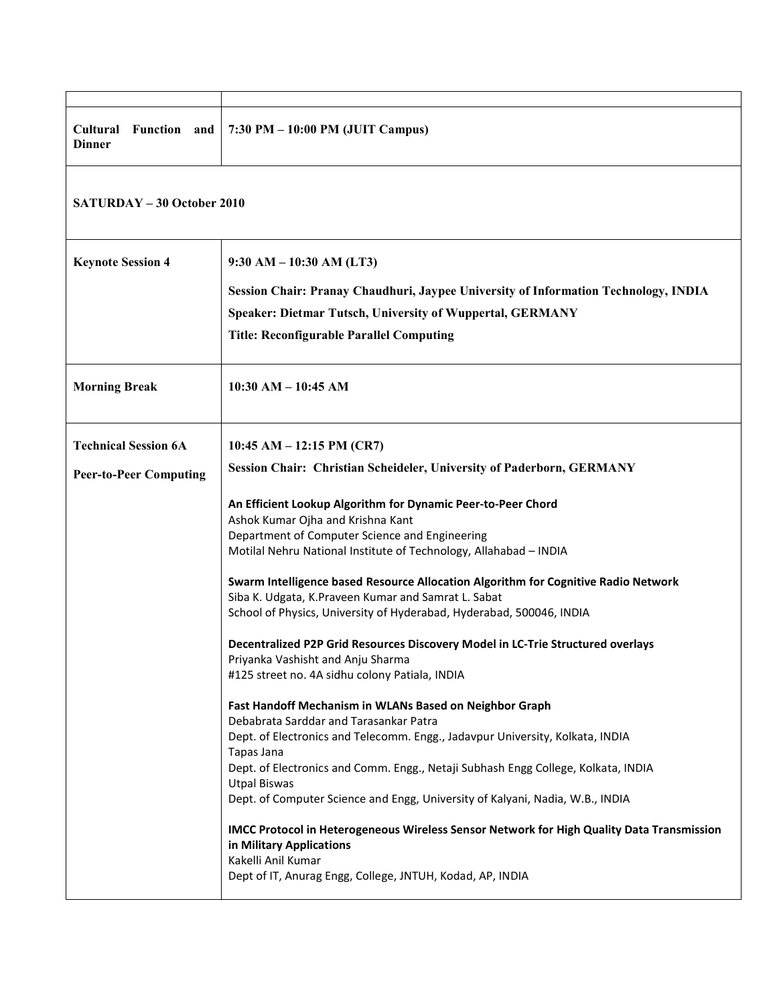| Cultural<br>Function and<br><b>Dinner</b>                    | 7:30 PM - 10:00 PM (JUIT Campus)                                                                                                                                                                                                                                                                                                   |  |
|--------------------------------------------------------------|------------------------------------------------------------------------------------------------------------------------------------------------------------------------------------------------------------------------------------------------------------------------------------------------------------------------------------|--|
|                                                              | <b>SATURDAY – 30 October 2010</b>                                                                                                                                                                                                                                                                                                  |  |
| <b>Keynote Session 4</b>                                     | $9:30$ AM $-10:30$ AM (LT3)<br>Session Chair: Pranay Chaudhuri, Jaypee University of Information Technology, INDIA<br><b>Speaker: Dietmar Tutsch, University of Wuppertal, GERMANY</b><br><b>Title: Reconfigurable Parallel Computing</b>                                                                                          |  |
| <b>Morning Break</b>                                         | $10:30$ AM $- 10:45$ AM                                                                                                                                                                                                                                                                                                            |  |
| <b>Technical Session 6A</b><br><b>Peer-to-Peer Computing</b> | 10:45 AM $-$ 12:15 PM (CR7)<br>Session Chair: Christian Scheideler, University of Paderborn, GERMANY                                                                                                                                                                                                                               |  |
|                                                              | An Efficient Lookup Algorithm for Dynamic Peer-to-Peer Chord<br>Ashok Kumar Ojha and Krishna Kant<br>Department of Computer Science and Engineering<br>Motilal Nehru National Institute of Technology, Allahabad - INDIA<br>Swarm Intelligence based Resource Allocation Algorithm for Cognitive Radio Network                     |  |
|                                                              | Siba K. Udgata, K. Praveen Kumar and Samrat L. Sabat<br>School of Physics, University of Hyderabad, Hyderabad, 500046, INDIA<br>Decentralized P2P Grid Resources Discovery Model in LC-Trie Structured overlays                                                                                                                    |  |
|                                                              | Priyanka Vashisht and Anju Sharma<br>#125 street no. 4A sidhu colony Patiala, INDIA<br>Fast Handoff Mechanism in WLANs Based on Neighbor Graph                                                                                                                                                                                     |  |
|                                                              | Debabrata Sarddar and Tarasankar Patra<br>Dept. of Electronics and Telecomm. Engg., Jadavpur University, Kolkata, INDIA<br>Tapas Jana<br>Dept. of Electronics and Comm. Engg., Netaji Subhash Engg College, Kolkata, INDIA<br><b>Utpal Biswas</b><br>Dept. of Computer Science and Engg, University of Kalyani, Nadia, W.B., INDIA |  |
|                                                              | IMCC Protocol in Heterogeneous Wireless Sensor Network for High Quality Data Transmission<br>in Military Applications<br>Kakelli Anil Kumar<br>Dept of IT, Anurag Engg, College, JNTUH, Kodad, AP, INDIA                                                                                                                           |  |